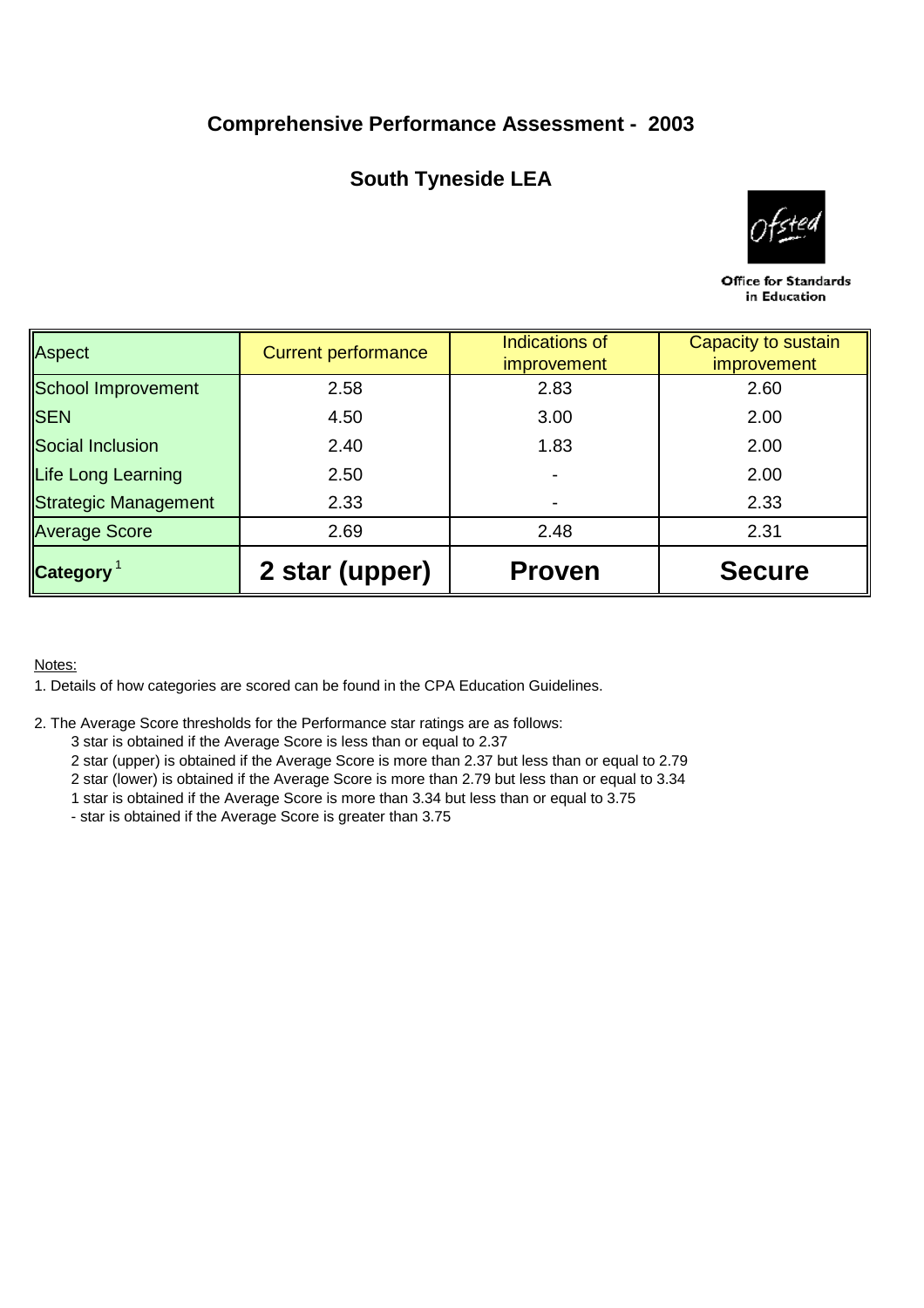## **Comprehensive Performance Assessment - 2003**

# **South Tyneside LEA**



Office for Standards in Education

| Aspect               | <b>Current performance</b> | Indications of<br><i>improvement</i> | Capacity to sustain<br><i>improvement</i> |  |  |
|----------------------|----------------------------|--------------------------------------|-------------------------------------------|--|--|
| School Improvement   | 2.58                       | 2.83                                 | 2.60                                      |  |  |
| <b>ISEN</b>          | 4.50                       | 3.00                                 | 2.00<br>2.00                              |  |  |
| Social Inclusion     | 2.40                       | 1.83                                 |                                           |  |  |
| Life Long Learning   | 2.50                       |                                      | 2.00                                      |  |  |
| Strategic Management | 2.33                       |                                      | 2.33                                      |  |  |
| <b>Average Score</b> | 2.69                       | 2.48                                 | 2.31                                      |  |  |
| <b>Category</b>      | 2 star (upper)             | <b>Proven</b>                        | <b>Secure</b>                             |  |  |

## Notes:

1. Details of how categories are scored can be found in the CPA Education Guidelines.

- 2. The Average Score thresholds for the Performance star ratings are as follows:
	- 3 star is obtained if the Average Score is less than or equal to 2.37
	- 2 star (upper) is obtained if the Average Score is more than 2.37 but less than or equal to 2.79
	- 2 star (lower) is obtained if the Average Score is more than 2.79 but less than or equal to 3.34
	- 1 star is obtained if the Average Score is more than 3.34 but less than or equal to 3.75
	- star is obtained if the Average Score is greater than 3.75